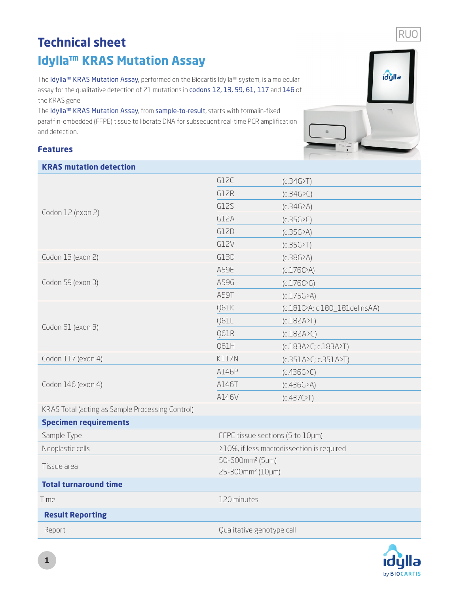## **Technical sheet Idylla™ KRAS Mutation Assay**

The Idylla™ KRAS Mutation Assay, performed on the Biocartis Idylla™ system, is a molecular assay for the qualitative detection of 21 mutations in codons 12, 13, 59, 61, 117 and 146 of the KRAS gene.

The Idylla™ KRAS Mutation Assay, from sample-to-result, starts with formalin-fixed paraffin-embedded (FFPE) tissue to liberate DNA for subsequent real-time PCR amplification and detection.

## **Features**



| <b>KRAS mutation detection</b>                   |                                           |                               |
|--------------------------------------------------|-------------------------------------------|-------------------------------|
| Codon 12 (exon 2)                                | G12C                                      | (C.34G>)                      |
|                                                  | G12R                                      | (C.34G > C)                   |
|                                                  | G12S                                      | (C.34G > A)                   |
|                                                  | G12A                                      | (C.35G > C)                   |
|                                                  | G12D                                      | (C.35G > A)                   |
|                                                  | G12V                                      | (c.35G>T)                     |
| Codon 13 (exon 2)                                | G13D                                      | (C.38G>A)                     |
| Codon 59 (exon 3)                                | A59E                                      | $(C.176C)$ A)                 |
|                                                  | A59G                                      | (c.176C)                      |
|                                                  | A59T                                      | (C.175G>A)                    |
| Codon 61 (exon 3)                                | Q61K                                      | (c.181C>A; c.180_181delinsAA) |
|                                                  | <b>Q61L</b>                               | (c.182A>T)                    |
|                                                  | <b>Q61R</b>                               | (C.182A>G)                    |
|                                                  | Q61H                                      | (c.183A>C; c.183A>T)          |
| Codon 117 (exon 4)                               | <b>K117N</b>                              | (c.351A > C; c.351A > T)      |
| Codon 146 (exon 4)                               | A146P                                     | (C.436G > C)                  |
|                                                  | A146T                                     | (C.436G > A)                  |
|                                                  | A146V                                     | (C.437C)                      |
| KRAS Total (acting as Sample Processing Control) |                                           |                               |
| <b>Specimen requirements</b>                     |                                           |                               |
| Sample Type                                      | FFPE tissue sections (5 to 10µm)          |                               |
| Neoplastic cells                                 | ≥10%, if less macrodissection is required |                               |
| Tissue area                                      | 50-600mm <sup>2</sup> (5µm)               |                               |
|                                                  | 25-300mm <sup>2</sup> (10µm)              |                               |
| <b>Total turnaround time</b>                     |                                           |                               |
| Time                                             | 120 minutes                               |                               |
| <b>Result Reporting</b>                          |                                           |                               |
| Report                                           | Qualitative genotype call                 |                               |



RUO